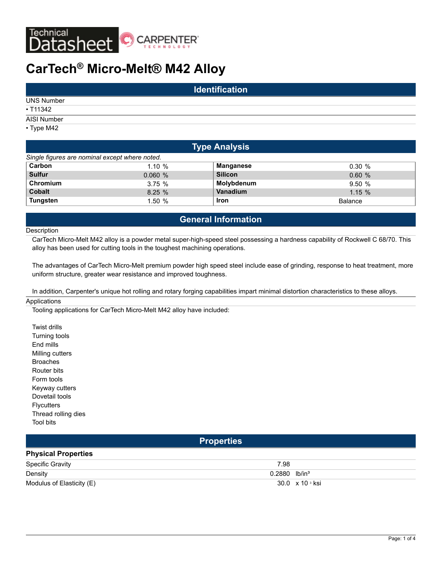

# **CarTech® Micro-Melt® M42 Alloy**

| <b>Identification</b> |  |  |  |  |  |
|-----------------------|--|--|--|--|--|
| <b>UNS Number</b>     |  |  |  |  |  |
| •  T11342             |  |  |  |  |  |
| AISI Number           |  |  |  |  |  |
| $\cdot$ Type M42      |  |  |  |  |  |

| <b>Type Analysis</b>                           |        |                |                |  |  |  |
|------------------------------------------------|--------|----------------|----------------|--|--|--|
| Single figures are nominal except where noted. |        |                |                |  |  |  |
| Carbon                                         | 1.10%  | Manganese      | $0.30 \%$      |  |  |  |
| <b>Sulfur</b>                                  | 0.060% | <b>Silicon</b> | 0.60%          |  |  |  |
| Chromium                                       | 3.75%  | Molybdenum     | 9.50%          |  |  |  |
| <b>Cobalt</b>                                  | 8.25%  | Vanadium       | 1.15%          |  |  |  |
| <b>Tungsten</b>                                | 1.50%  | <b>Iron</b>    | <b>Balance</b> |  |  |  |

# **General Information**

**Description** 

CarTech Micro-Melt M42 alloy is a powder metal super-high-speed steel possessing a hardness capability of Rockwell C 68/70. This alloy has been used for cutting tools in the toughest machining operations.

The advantages of CarTech Micro-Melt premium powder high speed steel include ease of grinding, response to heat treatment, more uniform structure, greater wear resistance and improved toughness.

In addition, Carpenter's unique hot rolling and rotary forging capabilities impart minimal distortion characteristics to these alloys.

#### **Applications**

Tooling applications for CarTech Micro-Melt M42 alloy have included:

Twist drills Turning tools End mills Milling cutters Broaches Router bits Form tools Keyway cutters Dovetail tools **Flycutters** Thread rolling dies Tool bits

**Properties**

## **Physical Properties**

| <b>Specific Gravity</b>   | 7.98                        |
|---------------------------|-----------------------------|
| Density                   | $0.2880$ lb/in <sup>3</sup> |
| Modulus of Elasticity (E) | 30.0 x 10 <sup>s</sup> ksi  |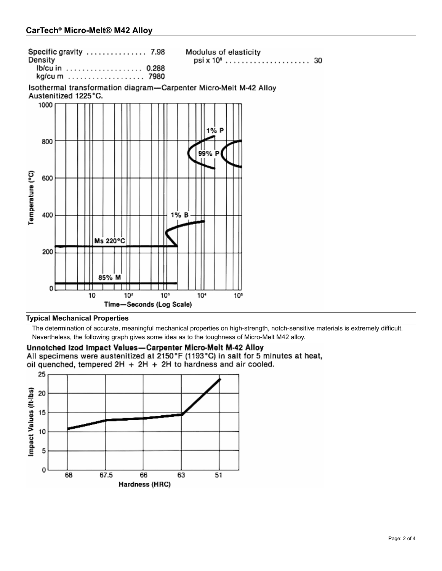| Specific gravity  7.98 |  |  |  |  |  |  |  |
|------------------------|--|--|--|--|--|--|--|
| Density                |  |  |  |  |  |  |  |
| Ib/cu in  0.288        |  |  |  |  |  |  |  |
| kg/cum  7980           |  |  |  |  |  |  |  |

Modulus of elasticity 

Isothermal transformation diagram-Carpenter Micro-Melt M-42 Alloy Austenitized 1225°C.



## **Typical Mechanical Properties**

The determination of accurate, meaningful mechanical properties on high-strength, notch-sensitive materials is extremely difficult. Nevertheless, the following graph gives some idea as to the toughness of Micro-Melt M42 alloy.

## Unnotched Izod Impact Values-Carpenter Micro-Melt M-42 Alloy

All specimens were austenitized at 2150°F (1193°C) in salt for 5 minutes at heat,

oil quenched, tempered  $2H + 2H + 2H$  to hardness and air cooled.

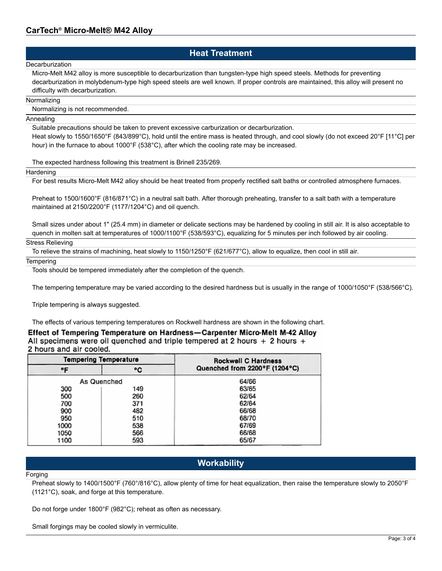# **Heat Treatment**

#### **Decarburization**

Micro-Melt M42 alloy is more susceptible to decarburization than tungsten-type high speed steels. Methods for preventing decarburization in molybdenum-type high speed steels are well known. If proper controls are maintained, this alloy will present no difficulty with decarburization.

#### Normalizing

Normalizing is not recommended.

#### Annealing

Suitable precautions should be taken to prevent excessive carburization or decarburization.

Heat slowly to 1550/1650°F (843/899°C), hold until the entire mass is heated through, and cool slowly (do not exceed 20°F [11°C] per hour) in the furnace to about 1000°F (538°C), after which the cooling rate may be increased.

The expected hardness following this treatment is Brinell 235/269.

**Hardening** 

For best results Micro-Melt M42 alloy should be heat treated from properly rectified salt baths or controlled atmosphere furnaces.

Preheat to 1500/1600°F (816/871°C) in a neutral salt bath. After thorough preheating, transfer to a salt bath with a temperature maintained at 2150/2200°F (1177/1204°C) and oil quench.

Small sizes under about 1" (25.4 mm) in diameter or delicate sections may be hardened by cooling in still air. It is also acceptable to quench in molten salt at temperatures of 1000/1100°F (538/593°C), equalizing for 5 minutes per inch followed by air cooling.

### Stress Relieving

To relieve the strains of machining, heat slowly to 1150/1250°F (621/677°C), allow to equalize, then cool in still air.

#### **Tempering**

Tools should be tempered immediately after the completion of the quench.

The tempering temperature may be varied according to the desired hardness but is usually in the range of 1000/1050°F (538/566°C).

Triple tempering is always suggested.

The effects of various tempering temperatures on Rockwell hardness are shown in the following chart.

Effect of Tempering Temperature on Hardness-Carpenter Micro-Melt M-42 Alloy All specimens were oil quenched and triple tempered at 2 hours  $+ 2$  hours  $+ 2$ 2 hours and air cooled.

|             | <b>Tempering Temperature</b> | <b>Rockwell C Hardness</b>    |  |  |  |  |  |
|-------------|------------------------------|-------------------------------|--|--|--|--|--|
| ۰F          | ۰c                           | Quenched from 2200°F (1204°C) |  |  |  |  |  |
| As Quenched |                              | 64/66                         |  |  |  |  |  |
| 300         | 149                          | 63/65                         |  |  |  |  |  |
| 500         | 260                          | 62/64                         |  |  |  |  |  |
| 700         | 371                          | 62/64                         |  |  |  |  |  |
| 900         | 482                          | 66/68                         |  |  |  |  |  |
| 950         | 510                          | 68/70                         |  |  |  |  |  |
| 1000        | 538                          | 67/69                         |  |  |  |  |  |
| 1050        | 566                          | 66/68                         |  |  |  |  |  |
| 1100        | 593                          | 65/67                         |  |  |  |  |  |

## **Workability**

#### Forging

Preheat slowly to 1400/1500°F (760°/816°C), allow plenty of time for heat equalization, then raise the temperature slowly to 2050°F (1121°C), soak, and forge at this temperature.

Do not forge under 1800°F (982°C); reheat as often as necessary.

Small forgings may be cooled slowly in vermiculite.